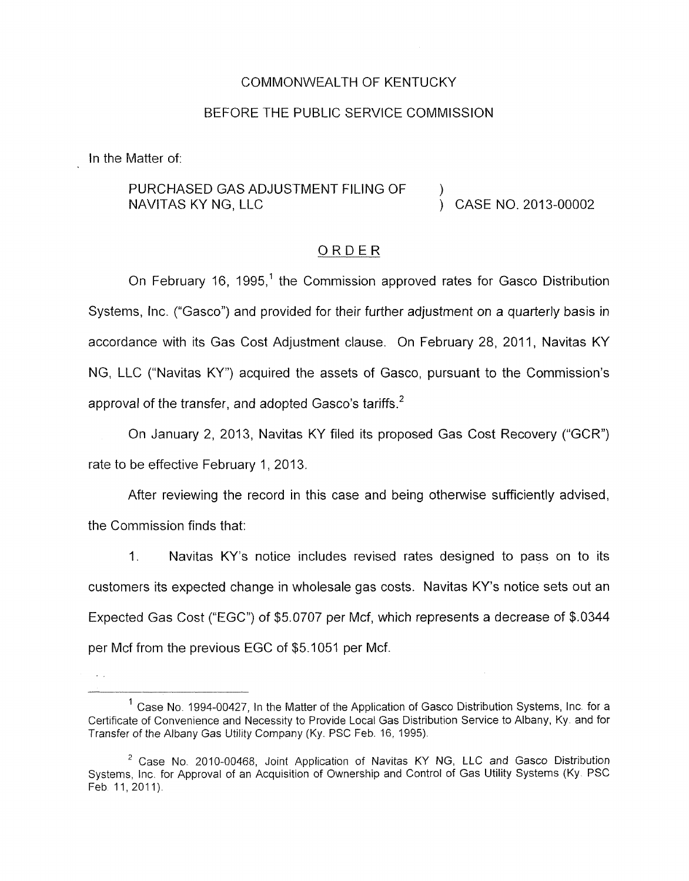#### COMMONWEALTH OF KENTUCKY

#### BEFORE THE PUBLIC SERVICE COMMISSION

In the Matter of:

#### PURCHASED GAS ADJUSTMENT FILING OF NAVITAS KY NG, LLC **NAVITAS KY NG, LLC** )

### ORDER

On February 16, 1995,<sup>1</sup> the Commission approved rates for Gasco Distribution Systems, lnc. ("Gasco") and provided for their further adjustment on a quarterly basis in accordance with its Gas Cost Adjustment clause. On February 28, 2011, Navitas KY NG, LLC ("Navitas KY") acquired the assets of Gasco, pursuant to the Commission's approval of the transfer, and adopted Gasco's tariffs.<sup>2</sup>

On January 2, 2013, Navitas KY filed its proposed Gas Cost Recovery ("GCR") rate to be effective February 1, 2013.

After reviewing the record in this case and being otherwise sufficiently advised, the Commission finds that:

I. Navitas KY's notice includes revised rates designed to pass on to its customers its expected change in wholesale gas costs. Navitas KY's notice sets out an Expected Gas *Cost* ("EGC") of *\$5.0707* per Mcf, which represents a decrease of \$.0344 per Mcf from the previous EGC of \$5.1 051 per Mcf.

 $<sup>1</sup>$  Case No. 1994-00427, In the Matter of the Application of Gasco Distribution Systems, Inc. for a</sup> Certificate of Convenience and Necessity to Provide Local Gas Distribution Service to Albany, Ky and far Transfer of the Albany Gas Utility Company **(Ky.** PSC Feb. 16, 1995)

<sup>&</sup>lt;sup>2</sup> Case No. 2010-00468, Joint Application of Navitas KY NG, LLC and Gasco Distribution Systems, Inc. for Approval of an Acquisition of Ownership and Control of Gas Utility Systems (Ky. PSC Feb. 11, 2011).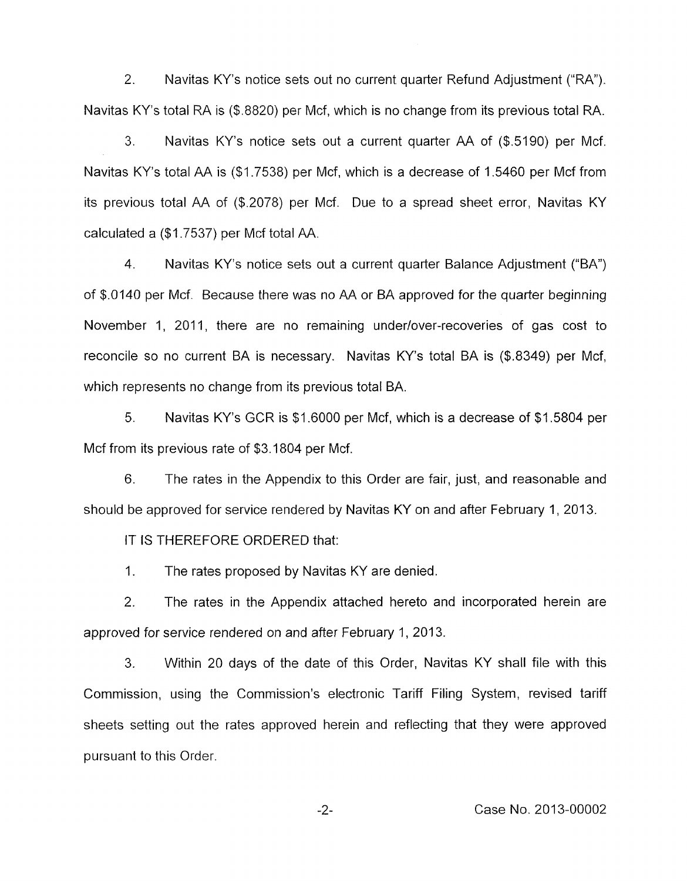2. Navitas KY's notice sets out no current quarter Refund Adjustment ("RA"). Navitas KY's total RA is (\$.8820) per Mcf, which is no change from its previous total RA.

Navitas KY's notice sets out a current quarter AA of (\$.5190) per Mcf. Navitas KY's total AA is (\$1.7538) per Mcf, which is a decrease of 1.5460 per Mcf from its previous total AA of (\$.2078) per Mcf. Due to a spread sheet error, Navitas KY calculated a (\$1.7537) per Mcf total AA. 3.

4. Navitas KY's notice sets out a current quarter Balance Adjustment ("BA") of \$.(I140 per Mcf. Because there was no AA or BA approved for the quarter beginning November 1, 2011, there are no remaining under/over-recoveries of gas cost to reconcile so no current BA is necessary. Navitas KY's total BA is (\$.8349) per Mcf, which represents no change from its previous total BA.

5. Navitas KY's GCR is \$1.6000 per Mcf, which is a decrease of \$1 5804 per Mcf from its previous rate of \$3.1804 per Mcf.

6. The rates in the Appendix to this Order are fair, just, and reasonable and should be approved for service rendered by Navitas KY on and after February 1, 2013.

IT IS THEREFORE ORDERED that:

1. The rates proposed by Navitas KY are denied.

2. The rates in the Appendix attached hereto and incorporated herein are approved for service rendered on and after February 1, 2013.

**3.** Within 20 days of the date of this Order, Navitas KY shall file with this Commission, using the Commission's electronic Tariff Filing System, revised tariff sheets setting out the rates approved herein and reflecting that they were approved pursuant to this Order.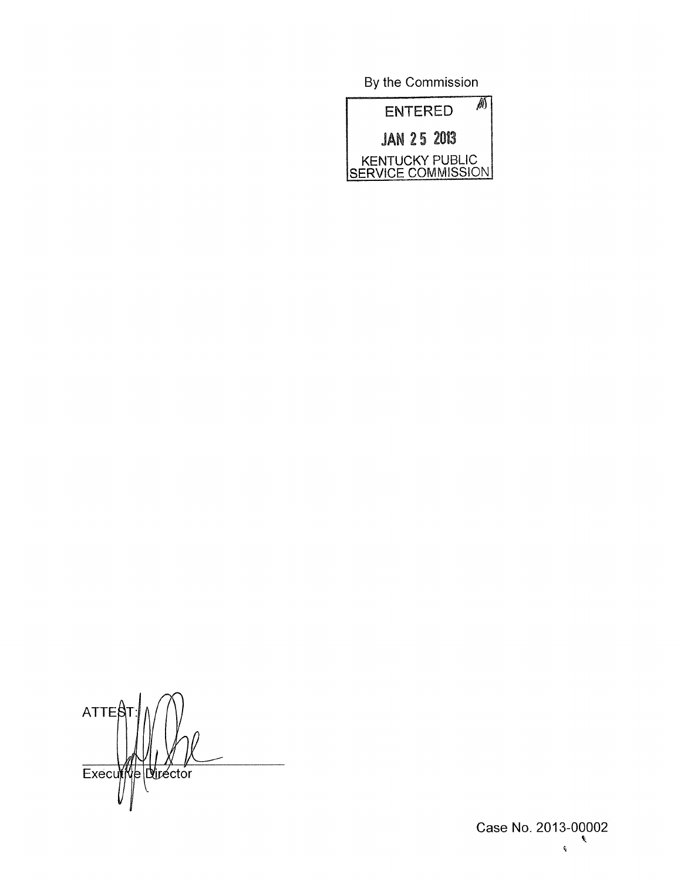By the Commission



 $ATTE<sup>8</sup>$ Executive Director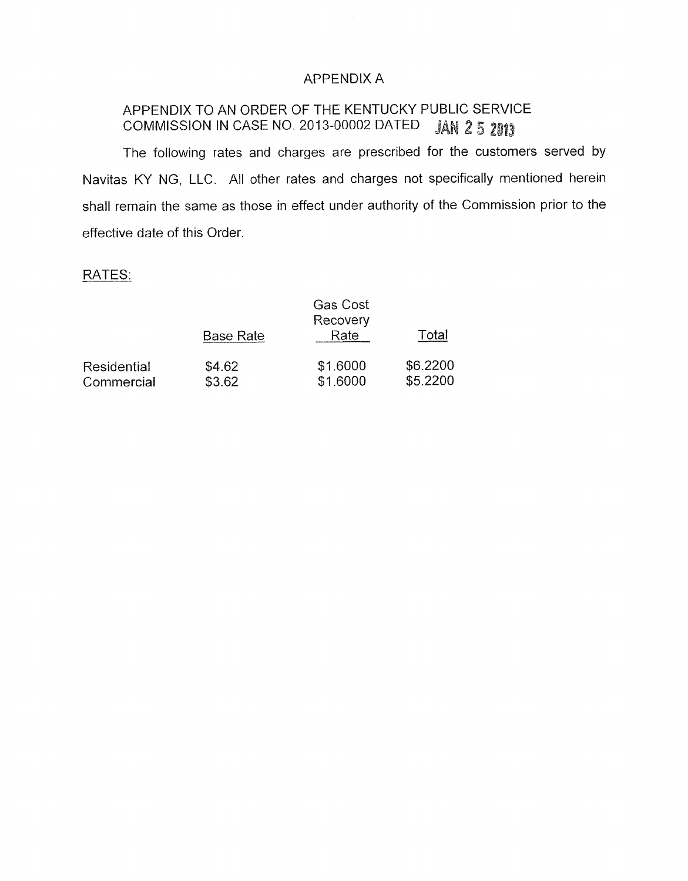## APPENDIX A

 $\bar{\mathcal{A}}$ 

# APPENDIX TO AN ORDER OF THE KENTUCKY PUBLIC SERVICE COMMISSION IN CASE NO. 2013-00002 DATED JAN 2 5 2013

The following rates and charges are prescribed for the customers served by Navitas KY NG, LLC. All other rates and charges not specifically mentioned herein shall remain the same as those in effect under authority of the Commission prior to the effective date of this Order

### RATES:

|             | <b>Base Rate</b> | <b>Gas Cost</b><br>Recovery<br>Rate | Total    |
|-------------|------------------|-------------------------------------|----------|
| Residential | \$4.62           | \$1.6000                            | \$6.2200 |
| Commercial  | \$3.62           | \$1.6000                            | \$5,2200 |